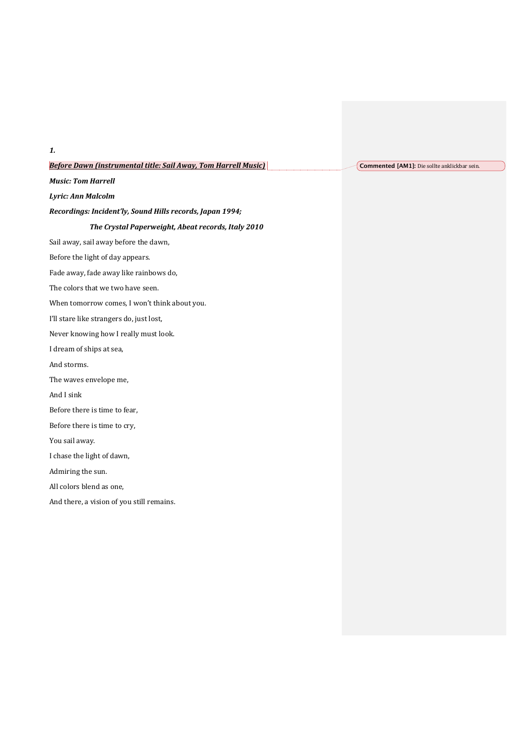### **Before Dawn (instrumental title: Sail Away, Tom Harrell Music)**

*Music: Tom Harrell* 

*1.*

*Lyric: Ann Malcolm*

Recordings: Incident'ly, Sound Hills records, Japan 1994;

### The Crystal Paperweight, Abeat records, Italy 2010

Sail away, sail away before the dawn,

Before the light of day appears.

Fade away, fade away like rainbows do,

The colors that we two have seen.

When tomorrow comes, I won't think about you.

I'll stare like strangers do, just lost,

Never knowing how I really must look.

I dream of ships at sea,

And storms.

The waves envelope me,

And I sink

Before there is time to fear.

Before there is time to cry,

You sail away.

I chase the light of dawn,

Admiring the sun.

All colors blend as one,

And there, a vision of you still remains.

**Commented [AM1]:** Die sollte anklickbar sein.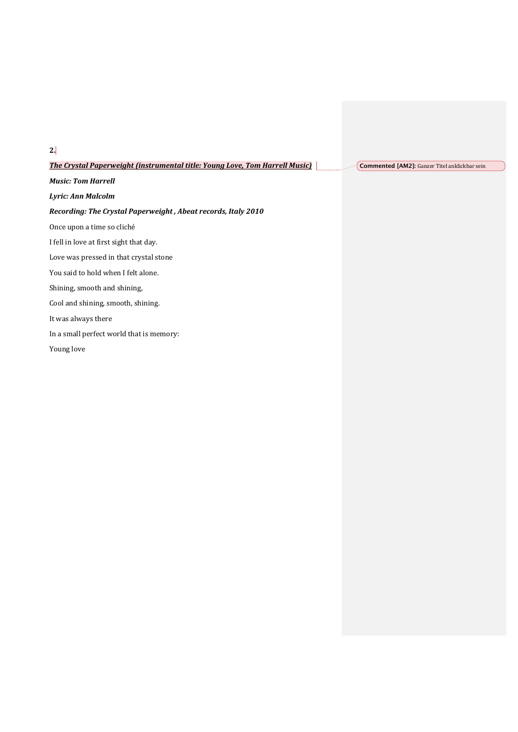**The Crystal Paperweight (instrumental title: Young Love, Tom Harrell Music)** 

**Commented [AM2]:** Ganzer Titel anklickbar sein

*Music: Tom Harrell* 

*Lyric: Ann Malcolm*

#### *Recording: The Crystal Paperweight, Abeat records, Italy 2010*

Once upon a time so cliché

I fell in love at first sight that day.

Love was pressed in that crystal stone

You said to hold when I felt alone.

Shining, smooth and shining,

Cool and shining, smooth, shining.

It was always there

In a small perfect world that is memory:

Young love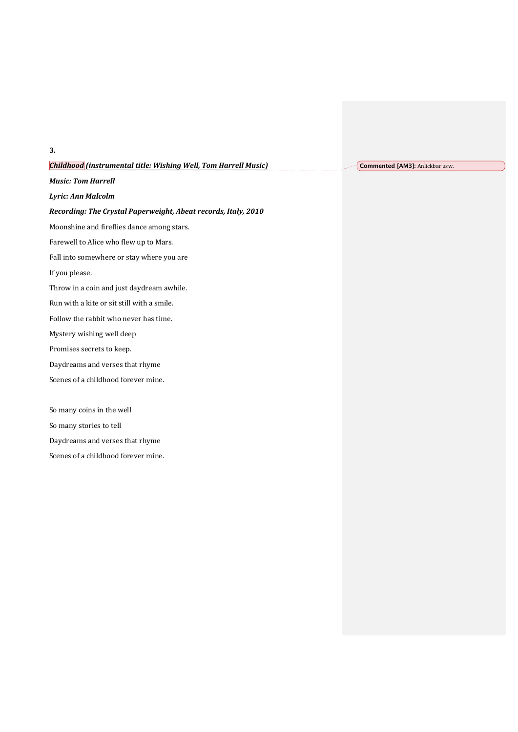| <b>Childhood</b> (instrumental title: Wishing Well, Tom Harrell Music) |
|------------------------------------------------------------------------|
| <b>Music: Tom Harrell</b>                                              |
| Lyric: Ann Malcolm                                                     |
| Recording: The Crystal Paperweight, Abeat records, Italy, 2010         |
| Moonshine and fireflies dance among stars.                             |
| Farewell to Alice who flew up to Mars.                                 |
| Fall into somewhere or stay where you are                              |
| If you please.                                                         |
| Throw in a coin and just daydream awhile.                              |
| Run with a kite or sit still with a smile.                             |
| Follow the rabbit who never has time.                                  |
| Mystery wishing well deep                                              |
| Promises secrets to keep.                                              |
| Daydreams and verses that rhyme                                        |
| Scenes of a childhood forever mine.                                    |
|                                                                        |
| So many coins in the well                                              |

So many stories to tell

Daydreams and verses that rhyme

Scenes of a childhood forever mine.

## **3.**

**Commented [AM3]: Anlickbar usw.**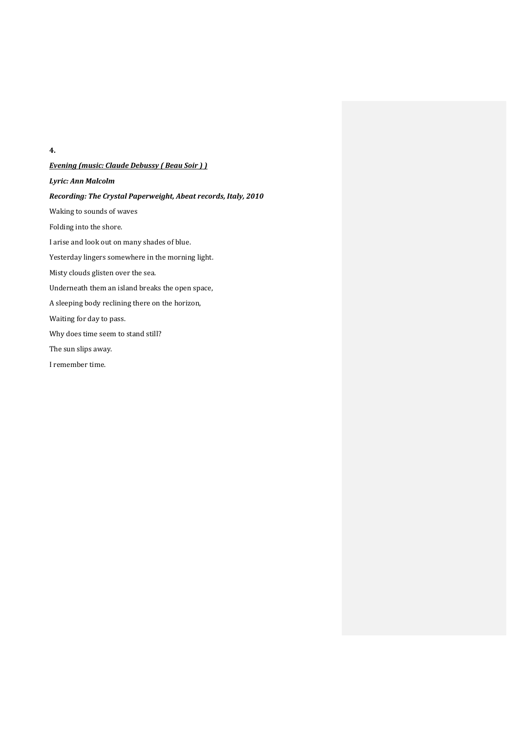#### **4.**

# **Evening** (music: Claude Debussy ( Beau Soir ) ) *Lyric: Ann Malcolm Recording: The Crystal Paperweight, Abeat records, Italy, 2010* Waking to sounds of waves Folding into the shore. I arise and look out on many shades of blue. Yesterday lingers somewhere in the morning light. Misty clouds glisten over the sea. Underneath them an island breaks the open space, A sleeping body reclining there on the horizon, Waiting for day to pass. Why does time seem to stand still? The sun slips away. I remember time.